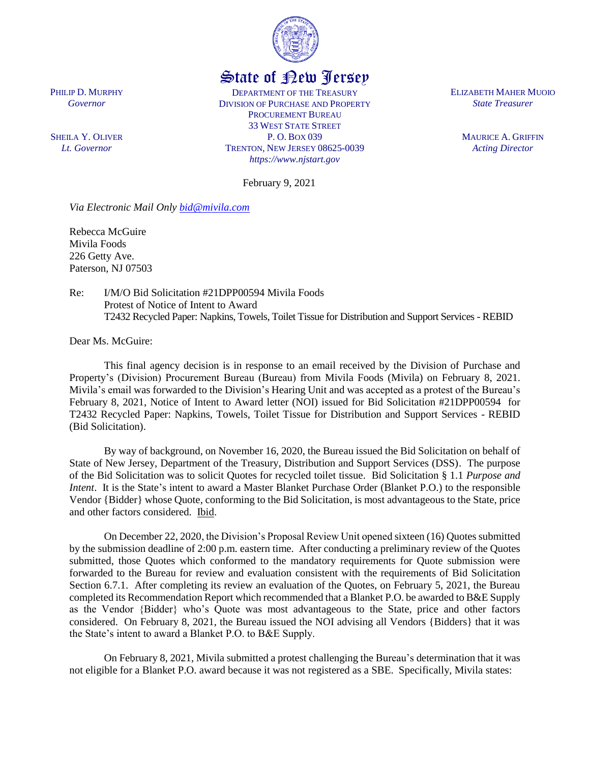

## State of New Jersey

DEPARTMENT OF THE TREASURY DIVISION OF PURCHASE AND PROPERTY PROCUREMENT BUREAU 33 WEST STATE STREET P. O. BOX 039 TRENTON, NEW JERSEY 08625-0039 *https://www.njstart.gov*

ELIZABETH MAHER MUOIO *State Treasurer*

> MAURICE A. GRIFFIN *Acting Director*

February 9, 2021

*Via Electronic Mail Only [bid@mivila.com](mailto:bid@mivila.com)*

Rebecca McGuire Mivila Foods 226 Getty Ave. Paterson, NJ 07503

Re: I/M/O Bid Solicitation #21DPP00594 Mivila Foods Protest of Notice of Intent to Award T2432 Recycled Paper: Napkins, Towels, Toilet Tissue for Distribution and Support Services - REBID

Dear Ms. McGuire:

This final agency decision is in response to an email received by the Division of Purchase and Property's (Division) Procurement Bureau (Bureau) from Mivila Foods (Mivila) on February 8, 2021. Mivila's email was forwarded to the Division's Hearing Unit and was accepted as a protest of the Bureau's February 8, 2021, Notice of Intent to Award letter (NOI) issued for Bid Solicitation #21DPP00594 for T2432 Recycled Paper: Napkins, Towels, Toilet Tissue for Distribution and Support Services - REBID (Bid Solicitation).

By way of background, on November 16, 2020, the Bureau issued the Bid Solicitation on behalf of State of New Jersey, Department of the Treasury, Distribution and Support Services (DSS). The purpose of the Bid Solicitation was to solicit Quotes for recycled toilet tissue. Bid Solicitation § 1.1 *Purpose and Intent*. It is the State's intent to award a Master Blanket Purchase Order (Blanket P.O.) to the responsible Vendor {Bidder} whose Quote, conforming to the Bid Solicitation, is most advantageous to the State, price and other factors considered. Ibid.

On December 22, 2020, the Division's Proposal Review Unit opened sixteen (16) Quotes submitted by the submission deadline of 2:00 p.m. eastern time. After conducting a preliminary review of the Quotes submitted, those Quotes which conformed to the mandatory requirements for Quote submission were forwarded to the Bureau for review and evaluation consistent with the requirements of Bid Solicitation Section 6.7.1. After completing its review an evaluation of the Quotes, on February 5, 2021, the Bureau completed its Recommendation Report which recommended that a Blanket P.O. be awarded to B&E Supply as the Vendor {Bidder} who's Quote was most advantageous to the State, price and other factors considered. On February 8, 2021, the Bureau issued the NOI advising all Vendors {Bidders} that it was the State's intent to award a Blanket P.O. to B&E Supply.

On February 8, 2021, Mivila submitted a protest challenging the Bureau's determination that it was not eligible for a Blanket P.O. award because it was not registered as a SBE. Specifically, Mivila states:

PHILIP D. MURPHY *Governor*

SHEILA Y. OLIVER *Lt. Governor*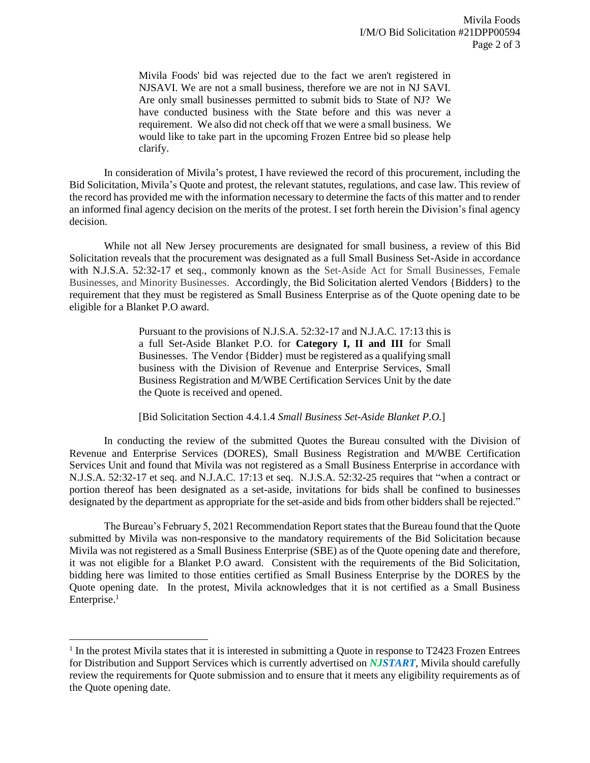Mivila Foods' bid was rejected due to the fact we aren't registered in NJSAVI. We are not a small business, therefore we are not in NJ SAVI. Are only small businesses permitted to submit bids to State of NJ? We have conducted business with the State before and this was never a requirement. We also did not check off that we were a small business. We would like to take part in the upcoming Frozen Entree bid so please help clarify.

In consideration of Mivila's protest, I have reviewed the record of this procurement, including the Bid Solicitation, Mivila's Quote and protest, the relevant statutes, regulations, and case law. This review of the record has provided me with the information necessary to determine the facts of this matter and to render an informed final agency decision on the merits of the protest. I set forth herein the Division's final agency decision.

While not all New Jersey procurements are designated for small business, a review of this Bid Solicitation reveals that the procurement was designated as a full Small Business Set-Aside in accordance with N.J.S.A. 52:32-17 et seq., commonly known as the Set-Aside Act for Small Businesses, Female Businesses, and Minority Businesses. Accordingly, the Bid Solicitation alerted Vendors {Bidders} to the requirement that they must be registered as Small Business Enterprise as of the Quote opening date to be eligible for a Blanket P.O award.

> Pursuant to the provisions of N.J.S.A. 52:32-17 and N.J.A.C. 17:13 this is a full Set-Aside Blanket P.O. for **Category I, II and III** for Small Businesses. The Vendor {Bidder} must be registered as a qualifying small business with the Division of Revenue and Enterprise Services, Small Business Registration and M/WBE Certification Services Unit by the date the Quote is received and opened.

[Bid Solicitation Section 4.4.1.4 *Small Business Set-Aside Blanket P.O.*]

In conducting the review of the submitted Quotes the Bureau consulted with the Division of Revenue and Enterprise Services (DORES), Small Business Registration and M/WBE Certification Services Unit and found that Mivila was not registered as a Small Business Enterprise in accordance with N.J.S.A. 52:32-17 et seq. and N.J.A.C. 17:13 et seq. N.J.S.A. 52:32-25 requires that "when a contract or portion thereof has been designated as a set-aside, invitations for bids shall be confined to businesses designated by the department as appropriate for the set-aside and bids from other bidders shall be rejected."

The Bureau's February 5, 2021 Recommendation Report states that the Bureau found that the Quote submitted by Mivila was non-responsive to the mandatory requirements of the Bid Solicitation because Mivila was not registered as a Small Business Enterprise (SBE) as of the Quote opening date and therefore, it was not eligible for a Blanket P.O award. Consistent with the requirements of the Bid Solicitation, bidding here was limited to those entities certified as Small Business Enterprise by the DORES by the Quote opening date. In the protest, Mivila acknowledges that it is not certified as a Small Business Enterprise.<sup>1</sup>

 $\overline{\phantom{a}}$ 

<sup>&</sup>lt;sup>1</sup> In the protest Mivila states that it is interested in submitting a Quote in response to T2423 Frozen Entrees for Distribution and Support Services which is currently advertised on *NJSTART*, Mivila should carefully review the requirements for Quote submission and to ensure that it meets any eligibility requirements as of the Quote opening date.